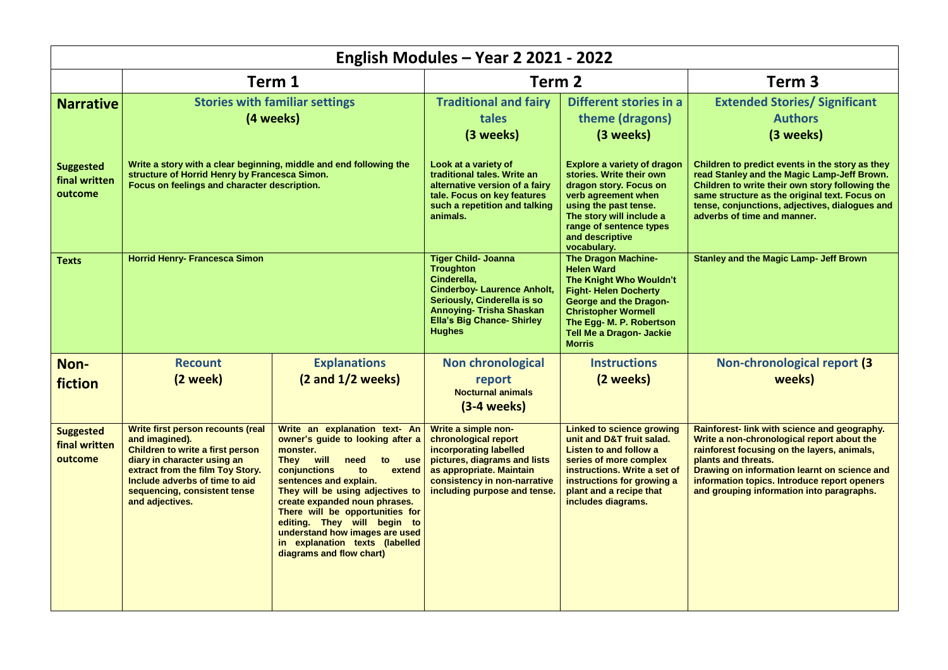| English Modules - Year 2 2021 - 2022         |                                                                                                                                                                                                                                                        |                                                                                                                                                                                                                                                                                                                                                                                                                  |                                                                                                                                                                                                                      |                                                                                                                                                                                                                                                          |                                                                                                                                                                                                                                                                                                               |  |  |  |  |
|----------------------------------------------|--------------------------------------------------------------------------------------------------------------------------------------------------------------------------------------------------------------------------------------------------------|------------------------------------------------------------------------------------------------------------------------------------------------------------------------------------------------------------------------------------------------------------------------------------------------------------------------------------------------------------------------------------------------------------------|----------------------------------------------------------------------------------------------------------------------------------------------------------------------------------------------------------------------|----------------------------------------------------------------------------------------------------------------------------------------------------------------------------------------------------------------------------------------------------------|---------------------------------------------------------------------------------------------------------------------------------------------------------------------------------------------------------------------------------------------------------------------------------------------------------------|--|--|--|--|
|                                              | Term 1                                                                                                                                                                                                                                                 |                                                                                                                                                                                                                                                                                                                                                                                                                  | Term <sub>2</sub>                                                                                                                                                                                                    |                                                                                                                                                                                                                                                          | Term <sub>3</sub>                                                                                                                                                                                                                                                                                             |  |  |  |  |
| <b>Narrative</b>                             | <b>Stories with familiar settings</b><br>(4 weeks)                                                                                                                                                                                                     |                                                                                                                                                                                                                                                                                                                                                                                                                  | <b>Traditional and fairy</b><br>tales<br>(3 weeks)                                                                                                                                                                   | Different stories in a<br>theme (dragons)<br>(3 weeks)                                                                                                                                                                                                   | <b>Extended Stories/ Significant</b><br><b>Authors</b><br>(3 weeks)                                                                                                                                                                                                                                           |  |  |  |  |
| <b>Suggested</b><br>final written<br>outcome | Write a story with a clear beginning, middle and end following the<br>structure of Horrid Henry by Francesca Simon.<br>Focus on feelings and character description.                                                                                    |                                                                                                                                                                                                                                                                                                                                                                                                                  | Look at a variety of<br>traditional tales. Write an<br>alternative version of a fairy<br>tale. Focus on key features<br>such a repetition and talking<br>animals.                                                    | <b>Explore a variety of dragon</b><br>stories. Write their own<br>dragon story. Focus on<br>verb agreement when<br>using the past tense.<br>The story will include a<br>range of sentence types<br>and descriptive<br>vocabulary.                        | Children to predict events in the story as they<br>read Stanley and the Magic Lamp-Jeff Brown.<br>Children to write their own story following the<br>same structure as the original text. Focus on<br>tense, conjunctions, adjectives, dialogues and<br>adverbs of time and manner.                           |  |  |  |  |
| <b>Texts</b>                                 | <b>Horrid Henry- Francesca Simon</b>                                                                                                                                                                                                                   |                                                                                                                                                                                                                                                                                                                                                                                                                  | <b>Tiger Child- Joanna</b><br><b>Troughton</b><br>Cinderella,<br><b>Cinderboy- Laurence Anholt,</b><br>Seriously, Cinderella is so<br>Annoying- Trisha Shaskan<br><b>Ella's Big Chance- Shirley</b><br><b>Hughes</b> | <b>The Dragon Machine-</b><br><b>Helen Ward</b><br>The Knight Who Wouldn't<br><b>Fight-Helen Docherty</b><br><b>George and the Dragon-</b><br><b>Christopher Wormell</b><br>The Egg- M. P. Robertson<br><b>Tell Me a Dragon- Jackie</b><br><b>Morris</b> | <b>Stanley and the Magic Lamp- Jeff Brown</b>                                                                                                                                                                                                                                                                 |  |  |  |  |
| Non-<br>fiction                              | <b>Recount</b><br>(2 week)                                                                                                                                                                                                                             | <b>Explanations</b><br>(2 and 1/2 weeks)                                                                                                                                                                                                                                                                                                                                                                         | <b>Non chronological</b><br>report<br><b>Nocturnal animals</b><br>$(3-4$ weeks)                                                                                                                                      | <b>Instructions</b><br>(2 weeks)                                                                                                                                                                                                                         | Non-chronological report (3<br>weeks)                                                                                                                                                                                                                                                                         |  |  |  |  |
| <b>Suggested</b><br>final written<br>outcome | Write first person recounts (real<br>and imagined).<br><b>Children to write a first person</b><br>diary in character using an<br>extract from the film Toy Story.<br>Include adverbs of time to aid<br>sequencing, consistent tense<br>and adjectives. | Write an explanation text- An<br>owner's quide to looking after a<br>monster.<br>They will<br>need<br>to<br>use<br>conjunctions<br>extend<br>to<br>sentences and explain.<br>They will be using adjectives to<br>create expanded noun phrases.<br>There will be opportunities for<br>editing. They will begin to<br>understand how images are used<br>in explanation texts (labelled<br>diagrams and flow chart) | Write a simple non-<br>chronological report<br>incorporating labelled<br>pictures, diagrams and lists<br>as appropriate. Maintain<br>consistency in non-narrative<br>including purpose and tense.                    | <b>Linked to science growing</b><br>unit and D&T fruit salad.<br>Listen to and follow a<br>series of more complex<br>instructions. Write a set of<br>instructions for growing a<br>plant and a recipe that<br>includes diagrams.                         | Rainforest- link with science and geography.<br>Write a non-chronological report about the<br>rainforest focusing on the layers, animals,<br>plants and threats.<br>Drawing on information learnt on science and<br>information topics. Introduce report openers<br>and grouping information into paragraphs. |  |  |  |  |